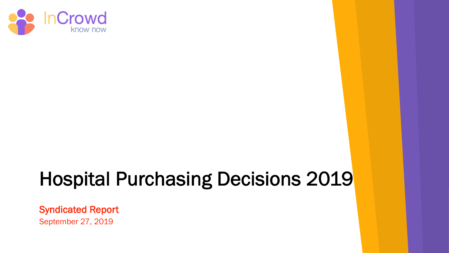

# Hospital Purchasing Decisions 2019

Syndicated Report September 27, 2019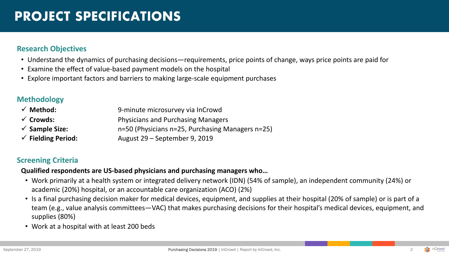# **PROJECT SPECIFICATIONS**

#### **Research Objectives**

- Understand the dynamics of purchasing decisions—requirements, price points of change, ways price points are paid for
- Examine the effect of value-based payment models on the hospital
- Explore important factors and barriers to making large-scale equipment purchases

#### **Methodology**

- ü **Method:** 9-minute microsurvey via InCrowd
- ü **Crowds:** Physicians and Purchasing Managers
- ü **Sample Size:** n=50 (Physicians n=25, Purchasing Managers n=25)
- ü **Fielding Period:** August 29 September 9, 2019

#### **Screening Criteria**

#### **Qualified respondents are US-based physicians and purchasing managers who…**

- Work primarily at a health system or integrated delivery network (IDN) (54% of sample), an independent community (24%) or academic (20%) hospital, or an accountable care organization (ACO) (2%)
- Is a final purchasing decision maker for medical devices, equipment, and supplies at their hospital (20% of sample) or is part of a team (e.g., value analysis committees—VAC) that makes purchasing decisions for their hospital's medical devices, equipment, and supplies (80%)
- Work at a hospital with at least 200 beds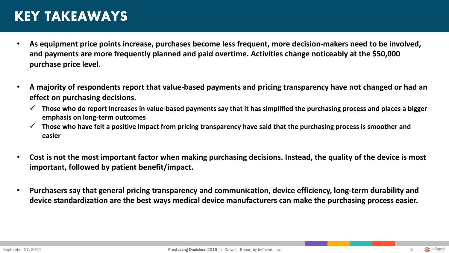# **KEY TAKEAWAYS**

- **As equipment price points increase, purchases become less frequent, more decision-makers need to be involved, and payments are more frequently planned and paid overtime. Activities change noticeably at the \$50,000 purchase price level.**
- **A majority of respondents report that value-based payments and pricing transparency have not changed or had an effect on purchasing decisions.**
	- $\checkmark$  Those who do report increases in value-based payments say that it has simplified the purchasing process and places a bigger **emphasis on long-term outcomes**
	- $\checkmark$  Those who have felt a positive impact from pricing transparency have said that the purchasing process is smoother and **easier**
- **Cost is not the most important factor when making purchasing decisions. Instead, the quality of the device is most important, followed by patient benefit/impact.**
- **Purchasers say that general pricing transparency and communication, device efficiency, long-term durability and device standardization are the best ways medical device manufacturers can make the purchasing process easier.**

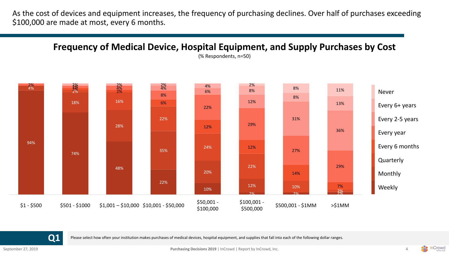As the cost of devices and equipment increases, the frequency of purchasing declines. Over half of purchases exceeding \$100,000 are made at most, every 6 months.

# **Frequency of Medical Device, Hospital Equipment, and Supply Purchases by Cost**



(% Respondents, n=50)



**Q1** Please select how often your institution makes purchases of medical devices, hospital equipment, and supplies that fall into each of the following dollar ranges.

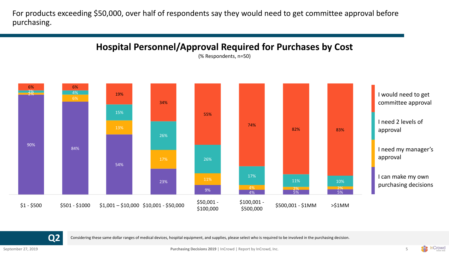For products exceeding \$50,000, over half of respondents say they would need to get committee approval before purchasing.

# **Hospital Personnel/Approval Required for Purchases by Cost**



(% Respondents, n=50)



C<sub>2</sub> Considering these same dollar ranges of medical devices, hospital equipment, and supplies, please select who is required to be involved in the purchasing decision.

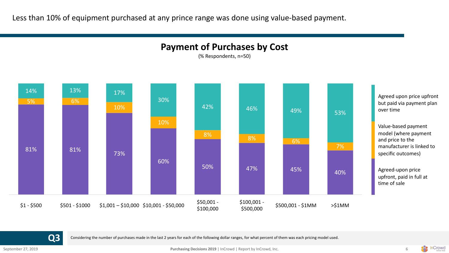Less than 10% of equipment purchased at any prince range was done using value-based payment.

### **Payment of Purchases by Cost**

(% Respondents, n=50)





Considering the number of purchases made in the last 2 years for each of the following dollar ranges, for what percent of them was each pricing model used.

**SAP InCrowd**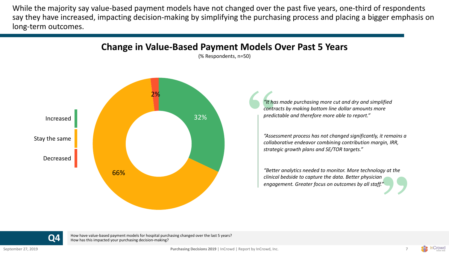While the majority say value-based payment models have not changed over the past five years, one-third of respondents say they have increased, impacting decision-making by simplifying the purchasing process and placing a bigger emphasis on long-term outcomes.



**Change in Value-Based Payment Models Over Past 5 Years** (% Respondents, n=50)

> and the contract of the contract of the contract of the contract of the contract of the contract of the contract of the contract of the contract of the contract of the contract of the contract of the contract of the contra *"It has made purchasing more cut and dry and simplified contracts by making bottom line dollar amounts more predictable and therefore more able to report."*

*"Assessment process has not changed significantly, it remains a collaborative endeavor combining contribution margin, IRR, strategic growth plans and SE/TOR targets."*

**"** *"Better analytics needed to monitor. More technology at the clinical bedside to capture the data. Better physician engagement. Greater focus on outcomes by all staff."*

How have value-based payment models for hospital purchasing changed over the last 5 years?<br>How has this impacted your purchasing decision-making?

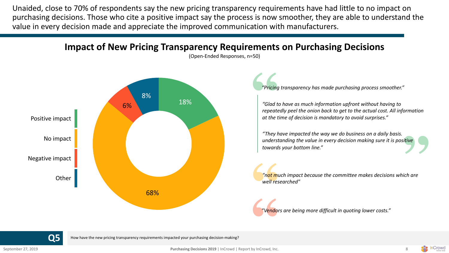Unaided, close to 70% of respondents say the new pricing transparency requirements have had little to no impact on purchasing decisions. Those who cite a positive impact say the process is now smoother, they are able to understand the value in every decision made and appreciate the improved communication with manufacturers.

## **Impact of New Pricing Transparency Requirements on Purchasing Decisions**

(Open-Ended Responses, n=50)



**Q5** How have the new pricing transparency requirements impacted your purchasing decision-making?

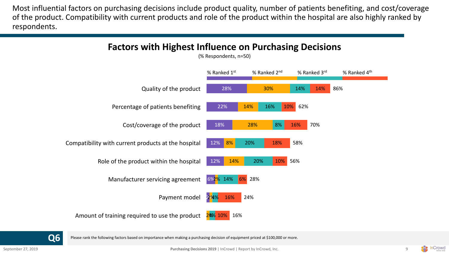Most influential factors on purchasing decisions include product quality, number of patients benefiting, and cost/coverage of the product. Compatibility with current products and role of the product within the hospital are also highly ranked by respondents.





Please rank the following factors based on importance when making a purchasing decision of equipment priced at \$100,000 or more.

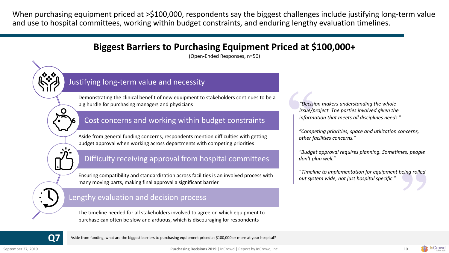When purchasing equipment priced at >\$100,000, respondents say the biggest challenges include justifying long-term value and use to hospital committees, working within budget constraints, and enduring lengthy evaluation timelines.

# **Biggest Barriers to Purchasing Equipment Priced at \$100,000+**

(Open-Ended Responses, n=50)

#### Justifying long-term value and necessity

Demonstrating the clinical benefit of new equipment to stakeholders continues to be a big hurdle for purchasing managers and physicians

#### Cost concerns and working within budget constraints

Aside from general funding concerns, respondents mention difficulties with getting budget approval when working across departments with competing priorities

#### Difficulty receiving approval from hospital committees

Ensuring compatibility and standardization across facilities is an involved process with many moving parts, making final approval a significant barrier

#### Lengthy evaluation and decision process

The timeline needed for all stakeholders involved to agree on which equipment to purchase can often be slow and arduous, which is discouraging for respondents

"Decisi"<br>
issue/p<br>
inform<br>
"Comp<br>
other f *"Decision makers understanding the whole issue/project. The parties involved given the information that meets all disciplines needs."*

*"Competing priorities, space and utilization concerns, other facilities concerns."*

*"Budget approval requires planning. Sometimes, people don't plan well."*

eing rolled<br>**"**<br>" *"Timeline to implementation for equipment being rolled out system wide, not just hospital specific."*



LESS

 $\mathbf O$ 

Aside from funding, what are the biggest barriers to purchasing equipment priced at \$100,000 or more at your hospital?

InCrowd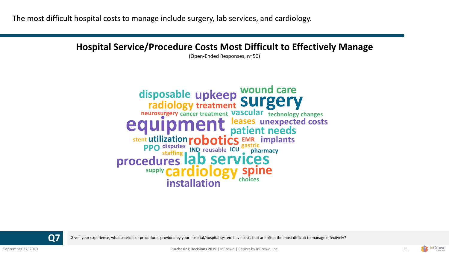**Hospital Service/Procedure Costs Most Difficult to Effectively Manage**

(Open-Ended Responses, n=50)





Given your experience, what services or procedures provided by your hospital/hospital system have costs that are often the most difficult to manage effectively?

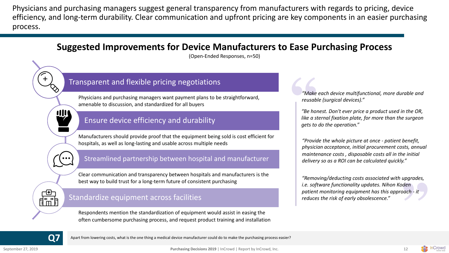Physicians and purchasing managers suggest general transparency from manufacturers with regards to pricing, device efficiency, and long-term durability. Clear communication and upfront pricing are key components in an easier purchasing process.

# **Suggested Improvements for Device Manufacturers to Ease Purchasing Process**

(Open-Ended Responses, n=50)

#### Transparent and flexible pricing negotiations

Physicians and purchasing managers want payment plans to be straightforward, amenable to discussion, and standardized for all buyers

#### Ensure device efficiency and durability

Manufacturers should provide proof that the equipment being sold is cost efficient for hospitals, as well as long-lasting and usable across multiple needs

#### Streamlined partnership between hospital and manufacturer

Clear communication and transparency between hospitals and manufacturers is the best way to build trust for a long-term future of consistent purchasing



**IIII** 

#### Standardize equipment across facilities

Respondents mention the standardization of equipment would assist in easing the often cumbersome purchasing process, and request product training and installation

*"Make each device multifunctional, more durable and reusable (surgical devices)."*

"Make<br>
reusab<br>
"Be ho.<br>
like a s<br>
aets to *"Be honest. Don't ever price a product used in the OR, like a sternal fixation plate, for more than the surgeon gets to do the operation."*

*"Provide the whole picture at once - patient benefit, physician acceptance, initial procurement costs, annual maintenance costs , disposable costs all in the initial delivery so as a ROI can be calculated quickly."*

pyruues,<br>den<br>ach - it *"Removing/deducting costs associated with upgrades, i.e. software functionality updates. Nihon Koden patient monitoring equipment has this approach - it reduces the risk of early obsolescence."*



**Q7** Apart from lowering costs, what is the one thing a medical device manufacturer could do to make the purchasing process easier?



nCrowd